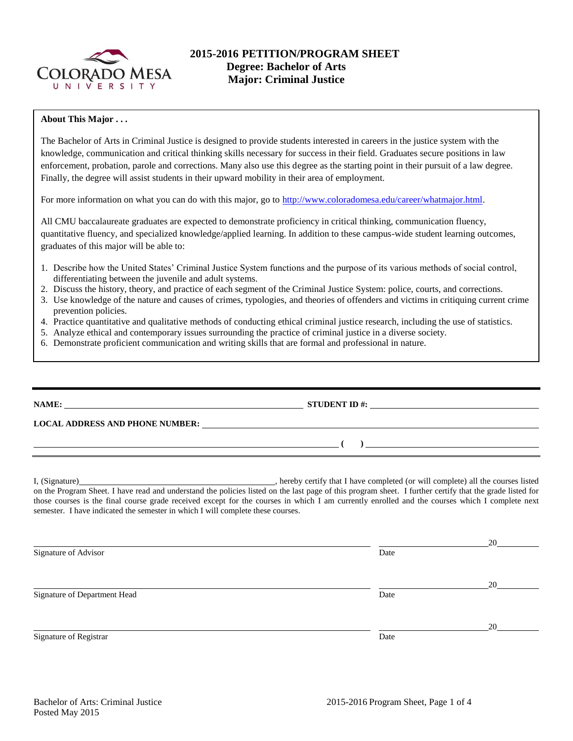

# **2015-2016 PETITION/PROGRAM SHEET Degree: Bachelor of Arts Major: Criminal Justice**

### **About This Major . . .**

The Bachelor of Arts in Criminal Justice is designed to provide students interested in careers in the justice system with the knowledge, communication and critical thinking skills necessary for success in their field. Graduates secure positions in law enforcement, probation, parole and corrections. Many also use this degree as the starting point in their pursuit of a law degree. Finally, the degree will assist students in their upward mobility in their area of employment.

For more information on what you can do with this major, go to [http://www.coloradomesa.edu/career/whatmajor.html.](http://www.coloradomesa.edu/career/whatmajor.html)

All CMU baccalaureate graduates are expected to demonstrate proficiency in critical thinking, communication fluency, quantitative fluency, and specialized knowledge/applied learning. In addition to these campus-wide student learning outcomes, graduates of this major will be able to:

- 1. Describe how the United States' Criminal Justice System functions and the purpose of its various methods of social control, differentiating between the juvenile and adult systems.
- 2. Discuss the history, theory, and practice of each segment of the Criminal Justice System: police, courts, and corrections.
- 3. Use knowledge of the nature and causes of crimes, typologies, and theories of offenders and victims in critiquing current crime prevention policies.
- 4. Practice quantitative and qualitative methods of conducting ethical criminal justice research, including the use of statistics.
- 5. Analyze ethical and contemporary issues surrounding the practice of criminal justice in a diverse society.
- 6. Demonstrate proficient communication and writing skills that are formal and professional in nature.

|                                                                                                                       | STUDENT ID #: $\qquad \qquad$                                                    |
|-----------------------------------------------------------------------------------------------------------------------|----------------------------------------------------------------------------------|
|                                                                                                                       |                                                                                  |
| <u> 1999 - Jan Salaman, manazarta da kasas da shekara 1999 - André a Salaman a Salaman a Salaman a Salaman a Sala</u> | $\overline{a}$                                                                   |
| I, (Signature)                                                                                                        | , hereby certify that I have completed (or will complete) all the courses listed |

on the Program Sheet. I have read and understand the policies listed on the last page of this program sheet. I further certify that the grade listed for those courses is the final course grade received except for the courses in which I am currently enrolled and the courses which I complete next semester. I have indicated the semester in which I will complete these courses.

|                              |      | 20 |
|------------------------------|------|----|
| Signature of Advisor         | Date |    |
|                              |      | 20 |
| Signature of Department Head | Date |    |
|                              |      | 20 |
| Signature of Registrar       | Date |    |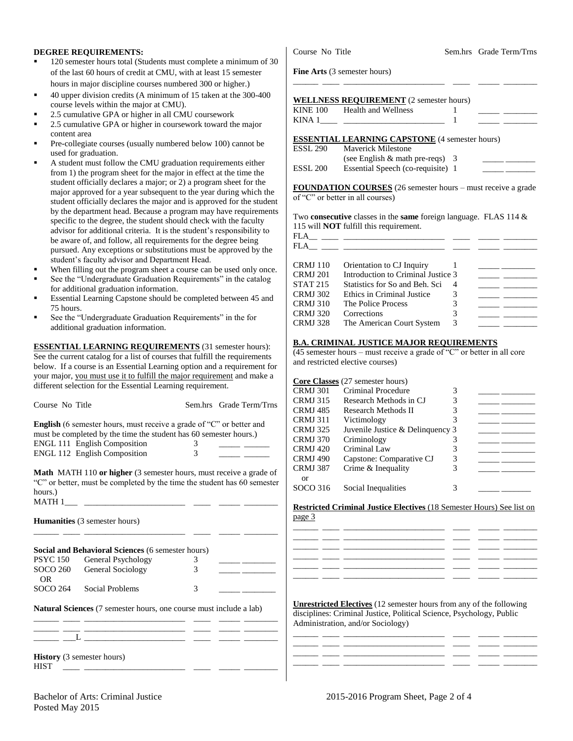#### **DEGREE REQUIREMENTS:**

- 120 semester hours total (Students must complete a minimum of 30 of the last 60 hours of credit at CMU, with at least 15 semester hours in major discipline courses numbered 300 or higher.)
- 40 upper division credits (A minimum of 15 taken at the 300-400 course levels within the major at CMU).
- 2.5 cumulative GPA or higher in all CMU coursework
- 2.5 cumulative GPA or higher in coursework toward the major content area
- Pre-collegiate courses (usually numbered below 100) cannot be used for graduation.
- A student must follow the CMU graduation requirements either from 1) the program sheet for the major in effect at the time the student officially declares a major; or 2) a program sheet for the major approved for a year subsequent to the year during which the student officially declares the major and is approved for the student by the department head. Because a program may have requirements specific to the degree, the student should check with the faculty advisor for additional criteria. It is the student's responsibility to be aware of, and follow, all requirements for the degree being pursued. Any exceptions or substitutions must be approved by the student's faculty advisor and Department Head.
- When filling out the program sheet a course can be used only once.
- See the "Undergraduate Graduation Requirements" in the catalog for additional graduation information.
- Essential Learning Capstone should be completed between 45 and 75 hours.
- See the "Undergraduate Graduation Requirements" in the for additional graduation information.

**ESSENTIAL LEARNING REQUIREMENTS** (31 semester hours): See the current catalog for a list of courses that fulfill the requirements below. If a course is an Essential Learning option and a requirement for your major, you must use it to fulfill the major requirement and make a different selection for the Essential Learning requirement.

| Course No Title                                                             |   | Sem.hrs Grade Term/Trns |
|-----------------------------------------------------------------------------|---|-------------------------|
| <b>English</b> (6 semester hours, must receive a grade of "C" or better and |   |                         |
| must be completed by the time the student has 60 semester hours.)           |   |                         |
| <b>ENGL 111 English Composition</b>                                         |   |                         |
| ENGL 112 English Composition                                                | 3 |                         |
|                                                                             |   |                         |

**Math** MATH 110 **or higher** (3 semester hours, must receive a grade of "C" or better, must be completed by the time the student has 60 semester hours.) MATH 1\_\_\_ \_\_\_\_\_\_\_\_\_\_\_\_\_\_\_\_\_\_\_\_\_\_\_\_ \_\_\_\_ \_\_\_\_\_ \_\_\_\_\_\_\_\_

\_\_\_\_\_\_ \_\_\_\_ \_\_\_\_\_\_\_\_\_\_\_\_\_\_\_\_\_\_\_\_\_\_\_\_ \_\_\_\_ \_\_\_\_\_ \_\_\_\_\_\_\_\_

**Humanities** (3 semester hours)

|                 | Social and Behavioral Sciences (6 semester hours) |   |  |
|-----------------|---------------------------------------------------|---|--|
| PSYC 150        | General Psychology                                |   |  |
| SOCO 260<br>OR. | <b>General Sociology</b>                          | 3 |  |
| SOCO 264        | Social Problems                                   | 3 |  |

**Natural Sciences** (7 semester hours, one course must include a lab) \_\_\_\_\_\_ \_\_\_\_ \_\_\_\_\_\_\_\_\_\_\_\_\_\_\_\_\_\_\_\_\_\_\_\_ \_\_\_\_ \_\_\_\_\_ \_\_\_\_\_\_\_\_

\_\_\_\_\_\_ \_\_\_\_ \_\_\_\_\_\_\_\_\_\_\_\_\_\_\_\_\_\_\_\_\_\_\_\_ \_\_\_\_ \_\_\_\_\_ \_\_\_\_\_\_\_\_

**History** (3 semester hours)  $HIST \t\underline{\qquad \qquad \qquad }$ 

 $\overline{\phantom{a}}$   $\overline{\phantom{a}}$   $\overline{\phantom{a}}$   $\overline{\phantom{a}}$   $\overline{\phantom{a}}$   $\overline{\phantom{a}}$   $\overline{\phantom{a}}$   $\overline{\phantom{a}}$   $\overline{\phantom{a}}$   $\overline{\phantom{a}}$   $\overline{\phantom{a}}$   $\overline{\phantom{a}}$   $\overline{\phantom{a}}$   $\overline{\phantom{a}}$   $\overline{\phantom{a}}$   $\overline{\phantom{a}}$   $\overline{\phantom{a}}$   $\overline{\phantom{a}}$   $\overline{\$ 

Course No Title Sem.hrs Grade Term/Trns

**Fine Arts** (3 semester hours)

| <b>WELLNESS REQUIREMENT</b> (2 semester hours)                                                                                                                                                                                                                                                                             |  |
|----------------------------------------------------------------------------------------------------------------------------------------------------------------------------------------------------------------------------------------------------------------------------------------------------------------------------|--|
| KINE 100 Health and Wellness                                                                                                                                                                                                                                                                                               |  |
| KINA 1 <sup>-1</sup> $\frac{1}{2}$ $\frac{1}{2}$ $\frac{1}{2}$ $\frac{1}{2}$ $\frac{1}{2}$ $\frac{1}{2}$ $\frac{1}{2}$ $\frac{1}{2}$ $\frac{1}{2}$ $\frac{1}{2}$ $\frac{1}{2}$ $\frac{1}{2}$ $\frac{1}{2}$ $\frac{1}{2}$ $\frac{1}{2}$ $\frac{1}{2}$ $\frac{1}{2}$ $\frac{1}{2}$ $\frac{1}{2}$ $\frac{1}{2}$ $\frac{1}{2}$ |  |
| <b>ESSENTIAL LEARNING CAPSTONE</b> (4 semester hours)                                                                                                                                                                                                                                                                      |  |
| ESSL 290 Mayerick Milestone                                                                                                                                                                                                                                                                                                |  |

\_\_\_\_\_\_ \_\_\_\_ \_\_\_\_\_\_\_\_\_\_\_\_\_\_\_\_\_\_\_\_\_\_\_\_ \_\_\_\_ \_\_\_\_\_ \_\_\_\_\_\_\_\_

| LOOL 290 | MAVELICK MILLESTOILE               |  |
|----------|------------------------------------|--|
|          | (see English $\&$ math pre-reqs) 3 |  |
| ESSL 200 | Essential Speech (co-requisite) 1  |  |
|          |                                    |  |

**FOUNDATION COURSES** (26 semester hours – must receive a grade of "C" or better in all courses)

Two **consecutive** classes in the **same** foreign language. FLAS 114 & 115 will **NOT** fulfill this requirement.

| <b>FLA</b><br>FLA | the control of the control of the control of the control of the control of the control of |   |  |
|-------------------|-------------------------------------------------------------------------------------------|---|--|
| CRMJ 110          | Orientation to CJ Inquiry                                                                 |   |  |
| <b>CRMJ 201</b>   | Introduction to Criminal Justice 3                                                        |   |  |
| <b>STAT 215</b>   | Statistics for So and Beh. Sci                                                            | 4 |  |
| <b>CRMJ 302</b>   | Ethics in Criminal Justice                                                                | 3 |  |
| <b>CRMJ 310</b>   | The Police Process                                                                        | 3 |  |
| <b>CRMJ 320</b>   | Corrections                                                                               | 3 |  |

#### **B.A. CRIMINAL JUSTICE MAJOR REQUIREMENTS**

CRMJ 328 The American Court System 3 \_\_\_\_\_ \_\_\_\_\_\_\_\_

(45 semester hours – must receive a grade of "C" or better in all core and restricted elective courses)

|          | <b>Core Classes</b> (27 semester hours) |   |  |
|----------|-----------------------------------------|---|--|
| CRMJ 301 | Criminal Procedure                      | 3 |  |
| CRMJ 315 | Research Methods in CJ                  | 3 |  |
| CRMJ 485 | Research Methods II                     | 3 |  |
| CRMJ 311 | Victimology                             | 3 |  |
| CRMJ 325 | Juvenile Justice & Delinquency 3        |   |  |
| CRMJ 370 | Criminology                             | 3 |  |
| CRMJ 420 | Criminal Law                            | 3 |  |
| CRMJ 490 | Capstone: Comparative CJ                | 3 |  |
| CRMJ 387 | Crime & Inequality                      | 3 |  |
| 0r       |                                         |   |  |
| SOCO 316 | Social Inequalities                     | 3 |  |
|          |                                         |   |  |

**Restricted Criminal Justice Electives** (18 Semester Hours) See list on page 3

**Unrestricted Electives** (12 semester hours from any of the following disciplines: Criminal Justice, Political Science, Psychology, Public Administration, and/or Sociology)

\_\_\_\_\_\_ \_\_\_\_ \_\_\_\_\_\_\_\_\_\_\_\_\_\_\_\_\_\_\_\_\_\_\_\_ \_\_\_\_ \_\_\_\_\_ \_\_\_\_\_\_\_\_

\_\_\_\_\_\_ \_\_\_\_ \_\_\_\_\_\_\_\_\_\_\_\_\_\_\_\_\_\_\_\_\_\_\_\_ \_\_\_\_ \_\_\_\_\_ \_\_\_\_\_\_\_\_ \_\_\_\_\_\_ \_\_\_\_ \_\_\_\_\_\_\_\_\_\_\_\_\_\_\_\_\_\_\_\_\_\_\_\_ \_\_\_\_ \_\_\_\_\_ \_\_\_\_\_\_\_\_

Posted May 2015

\_\_\_\_\_\_ \_\_\_\_ \_\_\_\_\_\_\_\_\_\_\_\_\_\_\_\_\_\_\_\_\_\_\_\_ \_\_\_\_ \_\_\_\_\_ \_\_\_\_\_\_\_\_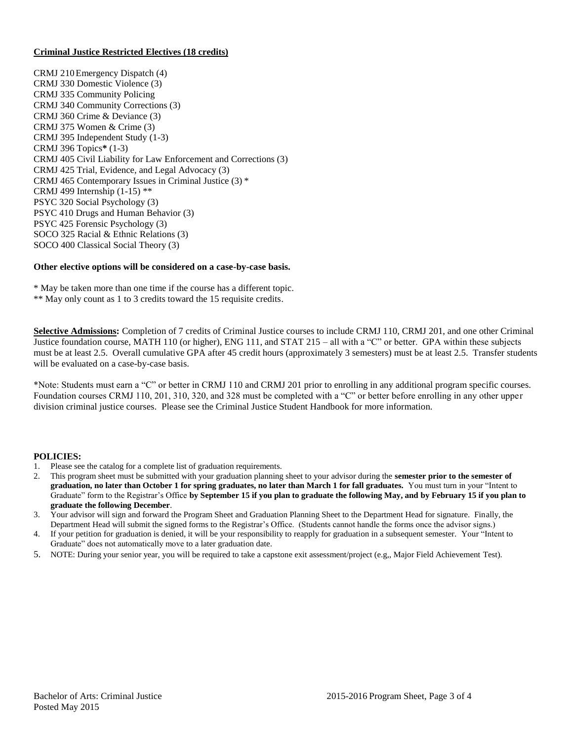### **Criminal Justice Restricted Electives (18 credits)**

CRMJ 210Emergency Dispatch (4) CRMJ 330 Domestic Violence (3) CRMJ 335 Community Policing CRMJ 340 Community Corrections (3) CRMJ 360 Crime & Deviance (3) CRMJ 375 Women & Crime (3) CRMJ 395 Independent Study (1-3) CRMJ 396 Topics**\*** (1-3) CRMJ 405 Civil Liability for Law Enforcement and Corrections (3) CRMJ 425 Trial, Evidence, and Legal Advocacy (3) CRMJ 465 Contemporary Issues in Criminal Justice (3) \* CRMJ 499 Internship  $(1-15)$ <sup>\*\*</sup> PSYC 320 Social Psychology (3) PSYC 410 Drugs and Human Behavior (3) PSYC 425 Forensic Psychology (3) SOCO 325 Racial & Ethnic Relations (3) SOCO 400 Classical Social Theory (3)

### **Other elective options will be considered on a case-by-case basis.**

\* May be taken more than one time if the course has a different topic. \*\* May only count as 1 to 3 credits toward the 15 requisite credits.

**Selective Admissions:** Completion of 7 credits of Criminal Justice courses to include CRMJ 110, CRMJ 201, and one other Criminal Justice foundation course, MATH 110 (or higher), ENG 111, and STAT 215 – all with a "C" or better. GPA within these subjects must be at least 2.5. Overall cumulative GPA after 45 credit hours (approximately 3 semesters) must be at least 2.5. Transfer students will be evaluated on a case-by-case basis.

\*Note: Students must earn a "C" or better in CRMJ 110 and CRMJ 201 prior to enrolling in any additional program specific courses. Foundation courses CRMJ 110, 201, 310, 320, and 328 must be completed with a "C" or better before enrolling in any other upper division criminal justice courses. Please see the Criminal Justice Student Handbook for more information.

#### **POLICIES:**

- 1. Please see the catalog for a complete list of graduation requirements.
- 2. This program sheet must be submitted with your graduation planning sheet to your advisor during the **semester prior to the semester of graduation, no later than October 1 for spring graduates, no later than March 1 for fall graduates.** You must turn in your "Intent to Graduate" form to the Registrar's Office **by September 15 if you plan to graduate the following May, and by February 15 if you plan to graduate the following December**.
- 3. Your advisor will sign and forward the Program Sheet and Graduation Planning Sheet to the Department Head for signature. Finally, the Department Head will submit the signed forms to the Registrar's Office. (Students cannot handle the forms once the advisor signs.)
- 4. If your petition for graduation is denied, it will be your responsibility to reapply for graduation in a subsequent semester. Your "Intent to Graduate" does not automatically move to a later graduation date.
- 5. NOTE: During your senior year, you will be required to take a capstone exit assessment/project (e.g,, Major Field Achievement Test).